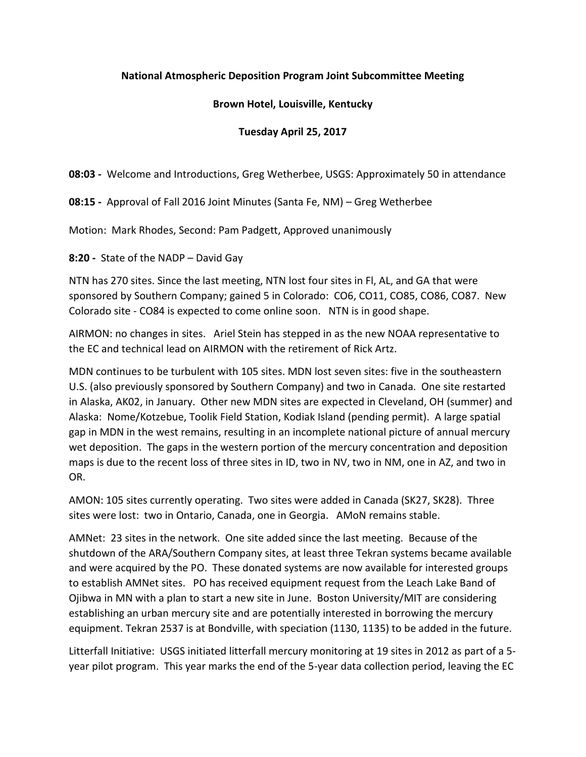### **National Atmospheric Deposition Program Joint Subcommittee Meeting**

### **Brown Hotel, Louisville, Kentucky**

### **Tuesday April 25, 2017**

**08:03 -** Welcome and Introductions, Greg Wetherbee, USGS: Approximately 50 in attendance

**08:15 -** Approval of Fall 2016 Joint Minutes (Santa Fe, NM) – Greg Wetherbee

Motion: Mark Rhodes, Second: Pam Padgett, Approved unanimously

**8:20 -** State of the NADP – David Gay

NTN has 270 sites. Since the last meeting, NTN lost four sites in Fl, AL, and GA that were sponsored by Southern Company; gained 5 in Colorado: CO6, CO11, CO85, CO86, CO87. New Colorado site - CO84 is expected to come online soon. NTN is in good shape.

AIRMON: no changes in sites. Ariel Stein has stepped in as the new NOAA representative to the EC and technical lead on AIRMON with the retirement of Rick Artz.

MDN continues to be turbulent with 105 sites. MDN lost seven sites: five in the southeastern U.S. (also previously sponsored by Southern Company) and two in Canada. One site restarted in Alaska, AK02, in January. Other new MDN sites are expected in Cleveland, OH (summer) and Alaska: Nome/Kotzebue, Toolik Field Station, Kodiak Island (pending permit). A large spatial gap in MDN in the west remains, resulting in an incomplete national picture of annual mercury wet deposition. The gaps in the western portion of the mercury concentration and deposition maps is due to the recent loss of three sites in ID, two in NV, two in NM, one in AZ, and two in OR.

AMON: 105 sites currently operating. Two sites were added in Canada (SK27, SK28). Three sites were lost: two in Ontario, Canada, one in Georgia. AMoN remains stable.

AMNet: 23 sites in the network. One site added since the last meeting. Because of the shutdown of the ARA/Southern Company sites, at least three Tekran systems became available and were acquired by the PO. These donated systems are now available for interested groups to establish AMNet sites. PO has received equipment request from the Leach Lake Band of Ojibwa in MN with a plan to start a new site in June. Boston University/MIT are considering establishing an urban mercury site and are potentially interested in borrowing the mercury equipment. Tekran 2537 is at Bondville, with speciation (1130, 1135) to be added in the future.

Litterfall Initiative: USGS initiated litterfall mercury monitoring at 19 sites in 2012 as part of a 5 year pilot program. This year marks the end of the 5-year data collection period, leaving the EC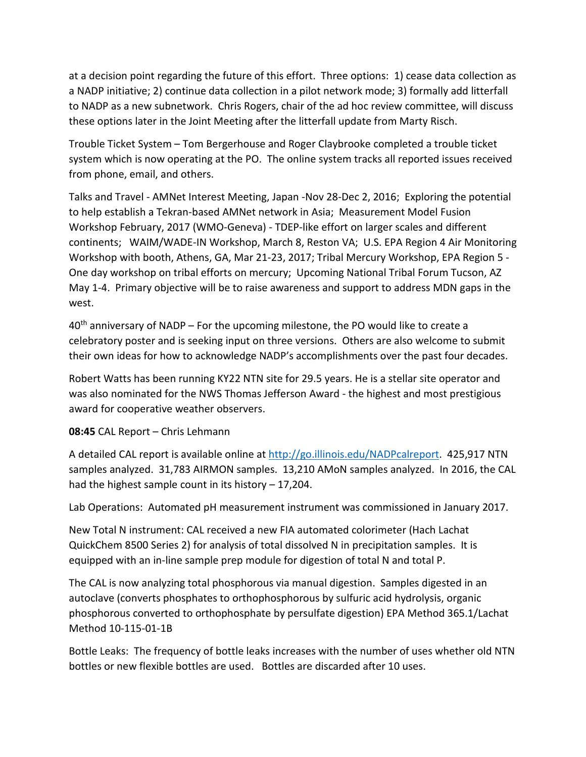at a decision point regarding the future of this effort. Three options: 1) cease data collection as a NADP initiative; 2) continue data collection in a pilot network mode; 3) formally add litterfall to NADP as a new subnetwork. Chris Rogers, chair of the ad hoc review committee, will discuss these options later in the Joint Meeting after the litterfall update from Marty Risch.

Trouble Ticket System – Tom Bergerhouse and Roger Claybrooke completed a trouble ticket system which is now operating at the PO. The online system tracks all reported issues received from phone, email, and others.

Talks and Travel - AMNet Interest Meeting, Japan -Nov 28-Dec 2, 2016; Exploring the potential to help establish a Tekran-based AMNet network in Asia; Measurement Model Fusion Workshop February, 2017 (WMO-Geneva) - TDEP-like effort on larger scales and different continents; WAIM/WADE-IN Workshop, March 8, Reston VA; U.S. EPA Region 4 Air Monitoring Workshop with booth, Athens, GA, Mar 21-23, 2017; Tribal Mercury Workshop, EPA Region 5 - One day workshop on tribal efforts on mercury; Upcoming National Tribal Forum Tucson, AZ May 1-4. Primary objective will be to raise awareness and support to address MDN gaps in the west.

 $40<sup>th</sup>$  anniversary of NADP – For the upcoming milestone, the PO would like to create a celebratory poster and is seeking input on three versions. Others are also welcome to submit their own ideas for how to acknowledge NADP's accomplishments over the past four decades.

Robert Watts has been running KY22 NTN site for 29.5 years. He is a stellar site operator and was also nominated for the NWS Thomas Jefferson Award - the highest and most prestigious award for cooperative weather observers.

**08:45** CAL Report – Chris Lehmann

A detailed CAL report is available online at [http://go.illinois.edu/NADPcalreport.](http://go.illinois.edu/NADPcalreport) 425,917 NTN samples analyzed. 31,783 AIRMON samples. 13,210 AMoN samples analyzed. In 2016, the CAL had the highest sample count in its history – 17,204.

Lab Operations: Automated pH measurement instrument was commissioned in January 2017.

New Total N instrument: CAL received a new FIA automated colorimeter (Hach Lachat QuickChem 8500 Series 2) for analysis of total dissolved N in precipitation samples. It is equipped with an in-line sample prep module for digestion of total N and total P.

The CAL is now analyzing total phosphorous via manual digestion. Samples digested in an autoclave (converts phosphates to orthophosphorous by sulfuric acid hydrolysis, organic phosphorous converted to orthophosphate by persulfate digestion) EPA Method 365.1/Lachat Method 10-115-01-1B

Bottle Leaks: The frequency of bottle leaks increases with the number of uses whether old NTN bottles or new flexible bottles are used. Bottles are discarded after 10 uses.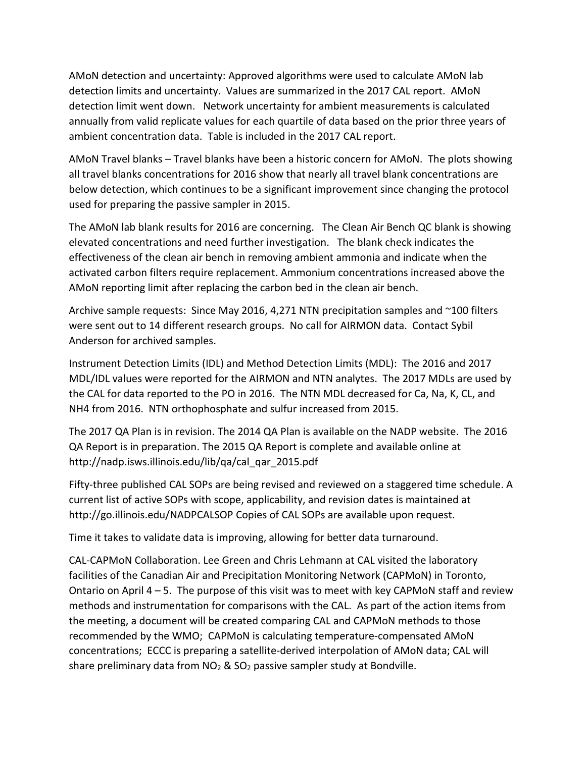AMoN detection and uncertainty: Approved algorithms were used to calculate AMoN lab detection limits and uncertainty. Values are summarized in the 2017 CAL report. AMoN detection limit went down. Network uncertainty for ambient measurements is calculated annually from valid replicate values for each quartile of data based on the prior three years of ambient concentration data. Table is included in the 2017 CAL report.

AMoN Travel blanks – Travel blanks have been a historic concern for AMoN. The plots showing all travel blanks concentrations for 2016 show that nearly all travel blank concentrations are below detection, which continues to be a significant improvement since changing the protocol used for preparing the passive sampler in 2015.

The AMoN lab blank results for 2016 are concerning. The Clean Air Bench QC blank is showing elevated concentrations and need further investigation. The blank check indicates the effectiveness of the clean air bench in removing ambient ammonia and indicate when the activated carbon filters require replacement. Ammonium concentrations increased above the AMoN reporting limit after replacing the carbon bed in the clean air bench.

Archive sample requests: Since May 2016, 4,271 NTN precipitation samples and ~100 filters were sent out to 14 different research groups. No call for AIRMON data. Contact Sybil Anderson for archived samples.

Instrument Detection Limits (IDL) and Method Detection Limits (MDL): The 2016 and 2017 MDL/IDL values were reported for the AIRMON and NTN analytes. The 2017 MDLs are used by the CAL for data reported to the PO in 2016. The NTN MDL decreased for Ca, Na, K, CL, and NH4 from 2016. NTN orthophosphate and sulfur increased from 2015.

The 2017 QA Plan is in revision. The 2014 QA Plan is available on the NADP website. The 2016 QA Report is in preparation. The 2015 QA Report is complete and available online at http://nadp.isws.illinois.edu/lib/qa/cal\_qar\_2015.pdf

Fifty-three published CAL SOPs are being revised and reviewed on a staggered time schedule. A current list of active SOPs with scope, applicability, and revision dates is maintained at http://go.illinois.edu/NADPCALSOP Copies of CAL SOPs are available upon request.

Time it takes to validate data is improving, allowing for better data turnaround.

CAL-CAPMoN Collaboration. Lee Green and Chris Lehmann at CAL visited the laboratory facilities of the Canadian Air and Precipitation Monitoring Network (CAPMoN) in Toronto, Ontario on April 4 – 5. The purpose of this visit was to meet with key CAPMoN staff and review methods and instrumentation for comparisons with the CAL. As part of the action items from the meeting, a document will be created comparing CAL and CAPMoN methods to those recommended by the WMO; CAPMoN is calculating temperature-compensated AMoN concentrations; ECCC is preparing a satellite-derived interpolation of AMoN data; CAL will share preliminary data from  $NO<sub>2</sub>$  &  $SO<sub>2</sub>$  passive sampler study at Bondville.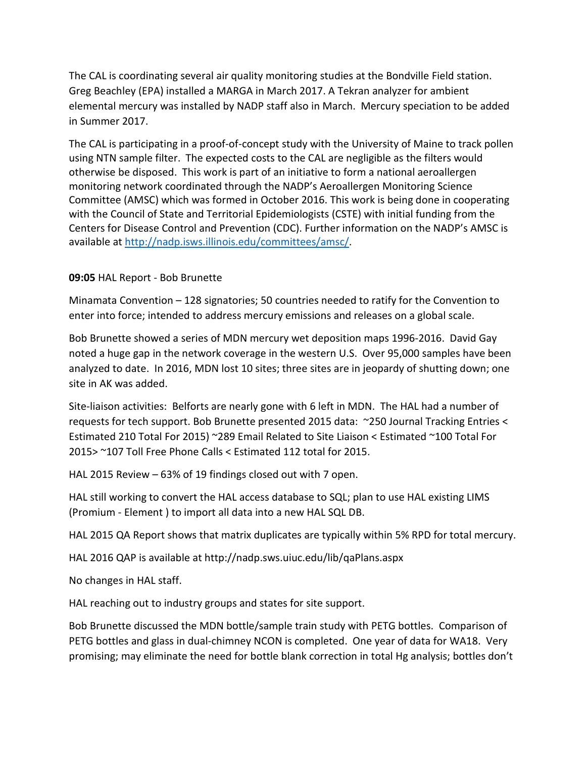The CAL is coordinating several air quality monitoring studies at the Bondville Field station. Greg Beachley (EPA) installed a MARGA in March 2017. A Tekran analyzer for ambient elemental mercury was installed by NADP staff also in March. Mercury speciation to be added in Summer 2017.

The CAL is participating in a proof-of-concept study with the University of Maine to track pollen using NTN sample filter. The expected costs to the CAL are negligible as the filters would otherwise be disposed. This work is part of an initiative to form a national aeroallergen monitoring network coordinated through the NADP's Aeroallergen Monitoring Science Committee (AMSC) which was formed in October 2016. This work is being done in cooperating with the Council of State and Territorial Epidemiologists (CSTE) with initial funding from the Centers for Disease Control and Prevention (CDC). Further information on the NADP's AMSC is available at [http://nadp.isws.illinois.edu/committees/amsc/.](http://nadp.isws.illinois.edu/committees/amsc/)

### **09:05** HAL Report - Bob Brunette

Minamata Convention – 128 signatories; 50 countries needed to ratify for the Convention to enter into force; intended to address mercury emissions and releases on a global scale.

Bob Brunette showed a series of MDN mercury wet deposition maps 1996-2016. David Gay noted a huge gap in the network coverage in the western U.S. Over 95,000 samples have been analyzed to date. In 2016, MDN lost 10 sites; three sites are in jeopardy of shutting down; one site in AK was added.

Site-liaison activities: Belforts are nearly gone with 6 left in MDN. The HAL had a number of requests for tech support. Bob Brunette presented 2015 data: ~250 Journal Tracking Entries < Estimated 210 Total For 2015) ~289 Email Related to Site Liaison < Estimated ~100 Total For 2015> ~107 Toll Free Phone Calls < Estimated 112 total for 2015.

HAL 2015 Review – 63% of 19 findings closed out with 7 open.

HAL still working to convert the HAL access database to SQL; plan to use HAL existing LIMS (Promium - Element ) to import all data into a new HAL SQL DB.

HAL 2015 QA Report shows that matrix duplicates are typically within 5% RPD for total mercury.

HAL 2016 QAP is available at http://nadp.sws.uiuc.edu/lib/qaPlans.aspx

No changes in HAL staff.

HAL reaching out to industry groups and states for site support.

Bob Brunette discussed the MDN bottle/sample train study with PETG bottles. Comparison of PETG bottles and glass in dual-chimney NCON is completed. One year of data for WA18. Very promising; may eliminate the need for bottle blank correction in total Hg analysis; bottles don't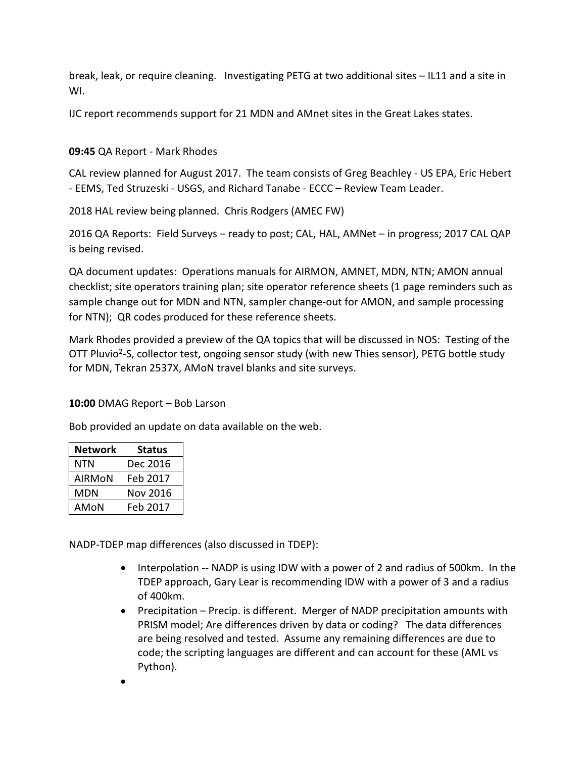break, leak, or require cleaning. Investigating PETG at two additional sites – IL11 and a site in WI.

IJC report recommends support for 21 MDN and AMnet sites in the Great Lakes states.

# **09:45** QA Report - Mark Rhodes

CAL review planned for August 2017. The team consists of Greg Beachley - US EPA, Eric Hebert - EEMS, Ted Struzeski - USGS, and Richard Tanabe - ECCC – Review Team Leader.

2018 HAL review being planned. Chris Rodgers (AMEC FW)

2016 QA Reports: Field Surveys – ready to post; CAL, HAL, AMNet – in progress; 2017 CAL QAP is being revised.

QA document updates: Operations manuals for AIRMON, AMNET, MDN, NTN; AMON annual checklist; site operators training plan; site operator reference sheets (1 page reminders such as sample change out for MDN and NTN, sampler change-out for AMON, and sample processing for NTN); QR codes produced for these reference sheets.

Mark Rhodes provided a preview of the QA topics that will be discussed in NOS: Testing of the OTT Pluvio<sup>2</sup>-S, collector test, ongoing sensor study (with new Thies sensor), PETG bottle study for MDN, Tekran 2537X, AMoN travel blanks and site surveys.

#### **10:00** DMAG Report – Bob Larson

Bob provided an update on data available on the web.

| <b>Network</b> | <b>Status</b> |
|----------------|---------------|
| NTN            | Dec 2016      |
| AIRMON         | Feb 2017      |
| MDN            | Nov 2016      |
| AMON           | Feb 2017      |

NADP-TDEP map differences (also discussed in TDEP):

- Interpolation -- NADP is using IDW with a power of 2 and radius of 500km. In the TDEP approach, Gary Lear is recommending IDW with a power of 3 and a radius of 400km.
- Precipitation Precip. is different. Merger of NADP precipitation amounts with PRISM model; Are differences driven by data or coding? The data differences are being resolved and tested. Assume any remaining differences are due to code; the scripting languages are different and can account for these (AML vs Python).
- •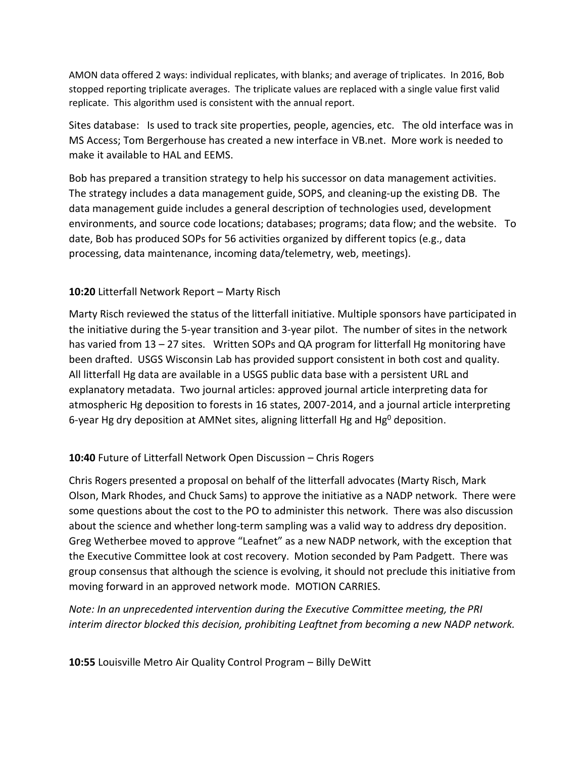AMON data offered 2 ways: individual replicates, with blanks; and average of triplicates. In 2016, Bob stopped reporting triplicate averages. The triplicate values are replaced with a single value first valid replicate. This algorithm used is consistent with the annual report.

Sites database: Is used to track site properties, people, agencies, etc. The old interface was in MS Access; Tom Bergerhouse has created a new interface in VB.net. More work is needed to make it available to HAL and EEMS.

Bob has prepared a transition strategy to help his successor on data management activities. The strategy includes a data management guide, SOPS, and cleaning-up the existing DB. The data management guide includes a general description of technologies used, development environments, and source code locations; databases; programs; data flow; and the website. To date, Bob has produced SOPs for 56 activities organized by different topics (e.g., data processing, data maintenance, incoming data/telemetry, web, meetings).

# **10:20** Litterfall Network Report – Marty Risch

Marty Risch reviewed the status of the litterfall initiative. Multiple sponsors have participated in the initiative during the 5-year transition and 3-year pilot. The number of sites in the network has varied from 13 – 27 sites. Written SOPs and QA program for litterfall Hg monitoring have been drafted. USGS Wisconsin Lab has provided support consistent in both cost and quality. All litterfall Hg data are available in a USGS public data base with a persistent URL and explanatory metadata. Two journal articles: approved journal article interpreting data for atmospheric Hg deposition to forests in 16 states, 2007-2014, and a journal article interpreting 6-year Hg dry deposition at AMNet sites, aligning litterfall Hg and Hg<sup>0</sup> deposition.

# **10:40** Future of Litterfall Network Open Discussion – Chris Rogers

Chris Rogers presented a proposal on behalf of the litterfall advocates (Marty Risch, Mark Olson, Mark Rhodes, and Chuck Sams) to approve the initiative as a NADP network. There were some questions about the cost to the PO to administer this network. There was also discussion about the science and whether long-term sampling was a valid way to address dry deposition. Greg Wetherbee moved to approve "Leafnet" as a new NADP network, with the exception that the Executive Committee look at cost recovery. Motion seconded by Pam Padgett. There was group consensus that although the science is evolving, it should not preclude this initiative from moving forward in an approved network mode. MOTION CARRIES.

*Note: In an unprecedented intervention during the Executive Committee meeting, the PRI interim director blocked this decision, prohibiting Leaftnet from becoming a new NADP network.*

**10:55** Louisville Metro Air Quality Control Program – Billy DeWitt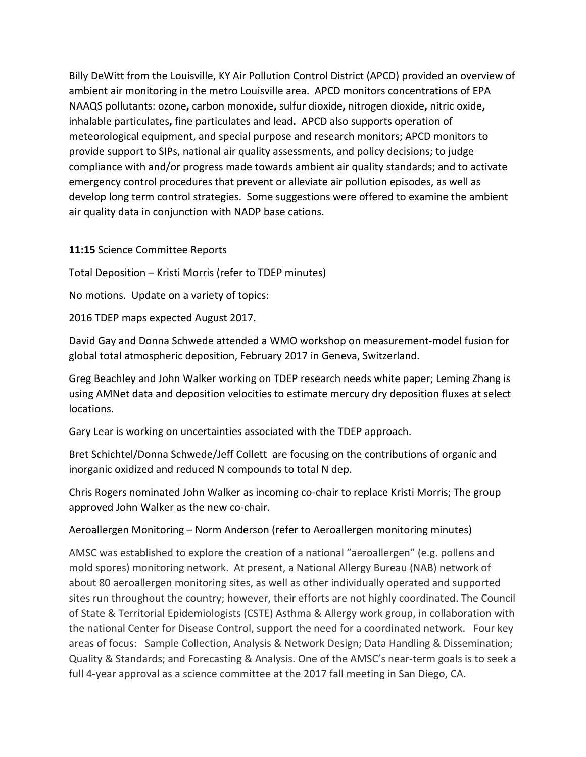Billy DeWitt from the Louisville, KY Air Pollution Control District (APCD) provided an overview of ambient air monitoring in the metro Louisville area. APCD monitors concentrations of EPA NAAQS pollutants: ozone**,** carbon monoxide**,** sulfur dioxide**,** nitrogen dioxide**,** nitric oxide**,**  inhalable particulates**,** fine particulates and lead**.** APCD also supports operation of meteorological equipment, and special purpose and research monitors; APCD monitors to provide support to SIPs, national air quality assessments, and policy decisions; to judge compliance with and/or progress made towards ambient air quality standards; and to activate emergency control procedures that prevent or alleviate air pollution episodes, as well as develop long term control strategies. Some suggestions were offered to examine the ambient air quality data in conjunction with NADP base cations.

**11:15** Science Committee Reports

Total Deposition – Kristi Morris (refer to TDEP minutes)

No motions. Update on a variety of topics:

2016 TDEP maps expected August 2017.

David Gay and Donna Schwede attended a WMO workshop on measurement-model fusion for global total atmospheric deposition, February 2017 in Geneva, Switzerland.

Greg Beachley and John Walker working on TDEP research needs white paper; Leming Zhang is using AMNet data and deposition velocities to estimate mercury dry deposition fluxes at select locations.

Gary Lear is working on uncertainties associated with the TDEP approach.

Bret Schichtel/Donna Schwede/Jeff Collett are focusing on the contributions of organic and inorganic oxidized and reduced N compounds to total N dep.

Chris Rogers nominated John Walker as incoming co-chair to replace Kristi Morris; The group approved John Walker as the new co-chair.

#### Aeroallergen Monitoring – Norm Anderson (refer to Aeroallergen monitoring minutes)

AMSC was established to explore the creation of a national "aeroallergen" (e.g. pollens and mold spores) monitoring network. At present, a National Allergy Bureau (NAB) network of about 80 aeroallergen monitoring sites, as well as other individually operated and supported sites run throughout the country; however, their efforts are not highly coordinated. The Council of State & Territorial Epidemiologists (CSTE) Asthma & Allergy work group, in collaboration with the national Center for Disease Control, support the need for a coordinated network. Four key areas of focus: Sample Collection, Analysis & Network Design; Data Handling & Dissemination; Quality & Standards; and Forecasting & Analysis. One of the AMSC's near-term goals is to seek a full 4-year approval as a science committee at the 2017 fall meeting in San Diego, CA.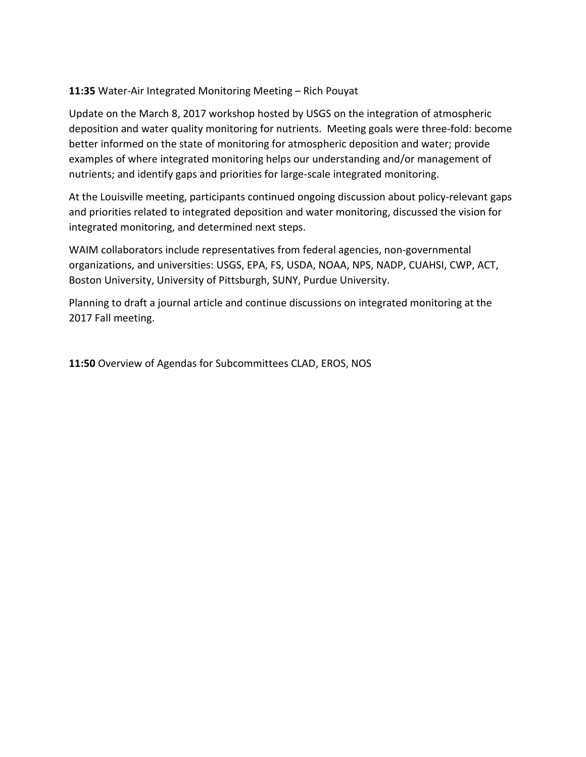### **11:35** Water-Air Integrated Monitoring Meeting – Rich Pouyat

Update on the March 8, 2017 workshop hosted by USGS on the integration of atmospheric deposition and water quality monitoring for nutrients. Meeting goals were three-fold: become better informed on the state of monitoring for atmospheric deposition and water; provide examples of where integrated monitoring helps our understanding and/or management of nutrients; and identify gaps and priorities for large-scale integrated monitoring.

At the Louisville meeting, participants continued ongoing discussion about policy-relevant gaps and priorities related to integrated deposition and water monitoring, discussed the vision for integrated monitoring, and determined next steps.

WAIM collaborators include representatives from federal agencies, non-governmental organizations, and universities: USGS, EPA, FS, USDA, NOAA, NPS, NADP, CUAHSI, CWP, ACT, Boston University, University of Pittsburgh, SUNY, Purdue University.

Planning to draft a journal article and continue discussions on integrated monitoring at the 2017 Fall meeting.

**11:50** Overview of Agendas for Subcommittees CLAD, EROS, NOS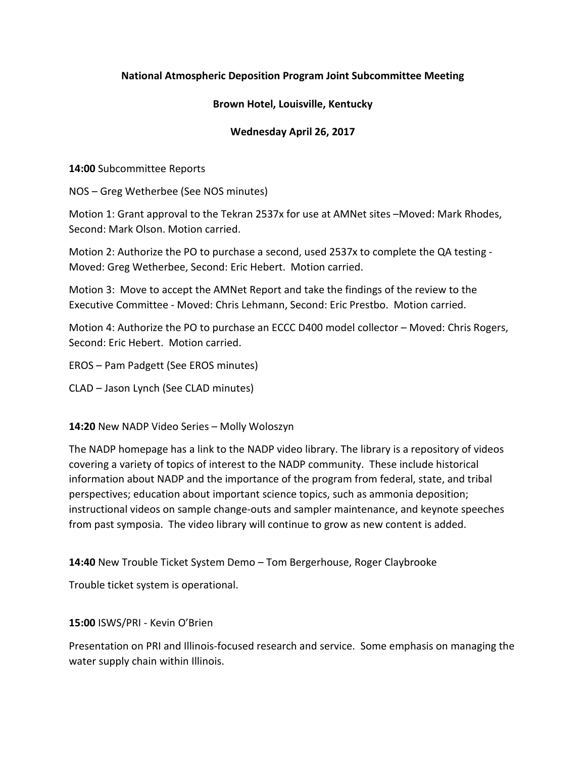### **National Atmospheric Deposition Program Joint Subcommittee Meeting**

#### **Brown Hotel, Louisville, Kentucky**

### **Wednesday April 26, 2017**

**14:00** Subcommittee Reports

NOS – Greg Wetherbee (See NOS minutes)

Motion 1: Grant approval to the Tekran 2537x for use at AMNet sites –Moved: Mark Rhodes, Second: Mark Olson. Motion carried.

Motion 2: Authorize the PO to purchase a second, used 2537x to complete the QA testing - Moved: Greg Wetherbee, Second: Eric Hebert. Motion carried.

Motion 3: Move to accept the AMNet Report and take the findings of the review to the Executive Committee - Moved: Chris Lehmann, Second: Eric Prestbo. Motion carried.

Motion 4: Authorize the PO to purchase an ECCC D400 model collector – Moved: Chris Rogers, Second: Eric Hebert. Motion carried.

EROS – Pam Padgett (See EROS minutes)

CLAD – Jason Lynch (See CLAD minutes)

#### **14:20** New NADP Video Series – Molly Woloszyn

The NADP homepage has a link to the NADP video library. The library is a repository of videos covering a variety of topics of interest to the NADP community. These include historical information about NADP and the importance of the program from federal, state, and tribal perspectives; education about important science topics, such as ammonia deposition; instructional videos on sample change-outs and sampler maintenance, and keynote speeches from past symposia. The video library will continue to grow as new content is added.

**14:40** New Trouble Ticket System Demo – Tom Bergerhouse, Roger Claybrooke

Trouble ticket system is operational.

#### **15:00** ISWS/PRI - Kevin O'Brien

Presentation on PRI and Illinois-focused research and service. Some emphasis on managing the water supply chain within Illinois.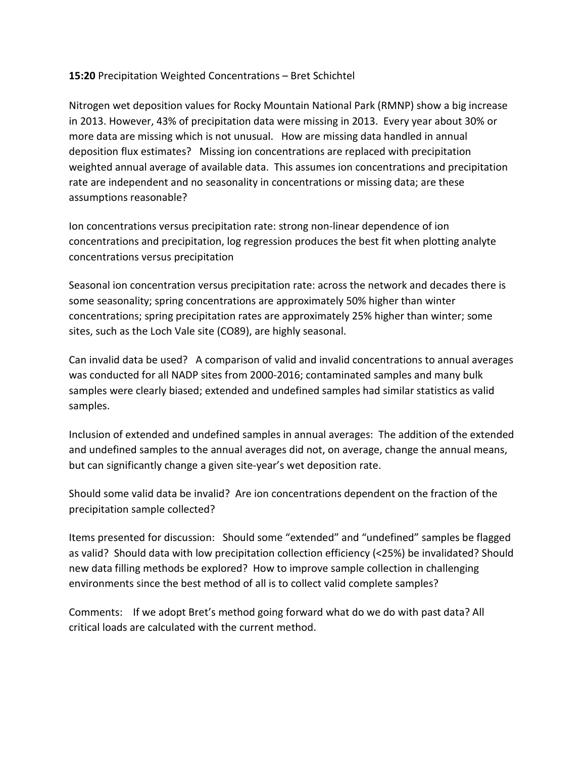### **15:20** Precipitation Weighted Concentrations – Bret Schichtel

Nitrogen wet deposition values for Rocky Mountain National Park (RMNP) show a big increase in 2013. However, 43% of precipitation data were missing in 2013. Every year about 30% or more data are missing which is not unusual. How are missing data handled in annual deposition flux estimates? Missing ion concentrations are replaced with precipitation weighted annual average of available data. This assumes ion concentrations and precipitation rate are independent and no seasonality in concentrations or missing data; are these assumptions reasonable?

Ion concentrations versus precipitation rate: strong non-linear dependence of ion concentrations and precipitation, log regression produces the best fit when plotting analyte concentrations versus precipitation

Seasonal ion concentration versus precipitation rate: across the network and decades there is some seasonality; spring concentrations are approximately 50% higher than winter concentrations; spring precipitation rates are approximately 25% higher than winter; some sites, such as the Loch Vale site (CO89), are highly seasonal.

Can invalid data be used? A comparison of valid and invalid concentrations to annual averages was conducted for all NADP sites from 2000-2016; contaminated samples and many bulk samples were clearly biased; extended and undefined samples had similar statistics as valid samples.

Inclusion of extended and undefined samples in annual averages: The addition of the extended and undefined samples to the annual averages did not, on average, change the annual means, but can significantly change a given site-year's wet deposition rate.

Should some valid data be invalid? Are ion concentrations dependent on the fraction of the precipitation sample collected?

Items presented for discussion: Should some "extended" and "undefined" samples be flagged as valid? Should data with low precipitation collection efficiency (<25%) be invalidated? Should new data filling methods be explored? How to improve sample collection in challenging environments since the best method of all is to collect valid complete samples?

Comments: If we adopt Bret's method going forward what do we do with past data? All critical loads are calculated with the current method.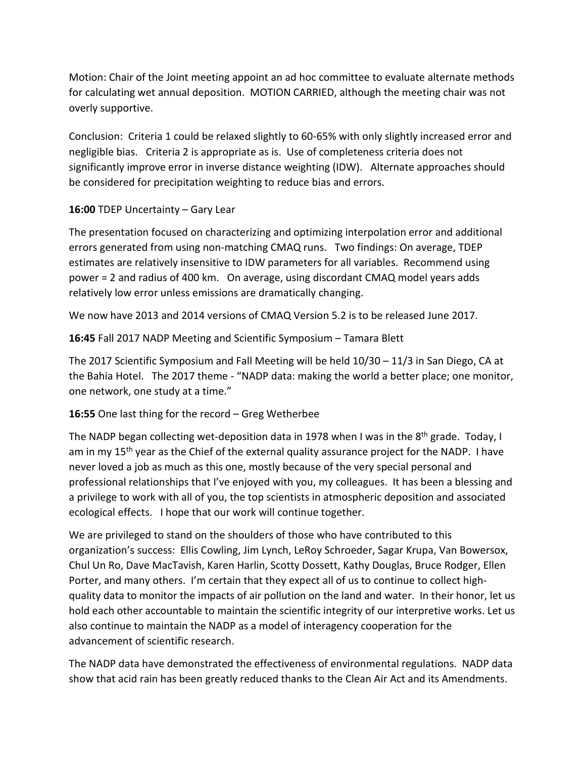Motion: Chair of the Joint meeting appoint an ad hoc committee to evaluate alternate methods for calculating wet annual deposition. MOTION CARRIED, although the meeting chair was not overly supportive.

Conclusion: Criteria 1 could be relaxed slightly to 60-65% with only slightly increased error and negligible bias. Criteria 2 is appropriate as is. Use of completeness criteria does not significantly improve error in inverse distance weighting (IDW). Alternate approaches should be considered for precipitation weighting to reduce bias and errors.

### **16:00** TDEP Uncertainty – Gary Lear

The presentation focused on characterizing and optimizing interpolation error and additional errors generated from using non-matching CMAQ runs. Two findings: On average, TDEP estimates are relatively insensitive to IDW parameters for all variables. Recommend using power = 2 and radius of 400 km. On average, using discordant CMAQ model years adds relatively low error unless emissions are dramatically changing.

We now have 2013 and 2014 versions of CMAQ Version 5.2 is to be released June 2017.

**16:45** Fall 2017 NADP Meeting and Scientific Symposium – Tamara Blett

The 2017 Scientific Symposium and Fall Meeting will be held 10/30 – 11/3 in San Diego, CA at the Bahia Hotel. The 2017 theme - "NADP data: making the world a better place; one monitor, one network, one study at a time."

# **16:55** One last thing for the record – Greg Wetherbee

The NADP began collecting wet-deposition data in 1978 when I was in the  $8<sup>th</sup>$  grade. Today, I am in my 15<sup>th</sup> year as the Chief of the external quality assurance project for the NADP. I have never loved a job as much as this one, mostly because of the very special personal and professional relationships that I've enjoyed with you, my colleagues. It has been a blessing and a privilege to work with all of you, the top scientists in atmospheric deposition and associated ecological effects. I hope that our work will continue together.

We are privileged to stand on the shoulders of those who have contributed to this organization's success: Ellis Cowling, Jim Lynch, LeRoy Schroeder, Sagar Krupa, Van Bowersox, Chul Un Ro, Dave MacTavish, Karen Harlin, Scotty Dossett, Kathy Douglas, Bruce Rodger, Ellen Porter, and many others. I'm certain that they expect all of us to continue to collect highquality data to monitor the impacts of air pollution on the land and water. In their honor, let us hold each other accountable to maintain the scientific integrity of our interpretive works. Let us also continue to maintain the NADP as a model of interagency cooperation for the advancement of scientific research.

The NADP data have demonstrated the effectiveness of environmental regulations. NADP data show that acid rain has been greatly reduced thanks to the Clean Air Act and its Amendments.